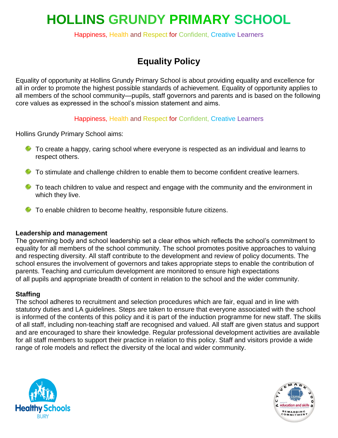# **HOLLINS GRUNDY PRIMARY SCHOOL**

Happiness, Health and Respect for Confident, Creative Learners

# **Equality Policy**

Equality of opportunity at Hollins Grundy Primary School is about providing equality and excellence for all in order to promote the highest possible standards of achievement. Equality of opportunity applies to all members of the school community—pupils, staff governors and parents and is based on the following core values as expressed in the school's mission statement and aims.

Happiness, Health and Respect for Confident, Creative Learners

Hollins Grundy Primary School aims:

- $\bullet$  To create a happy, caring school where everyone is respected as an individual and learns to respect others.
- To stimulate and challenge children to enable them to become confident creative learners.
- $\ddot{\bullet}$  To teach children to value and respect and engage with the community and the environment in which they live.
- $\bullet$  To enable children to become healthy, responsible future citizens.

#### **Leadership and management**

The governing body and school leadership set a clear ethos which reflects the school's commitment to equality for all members of the school community. The school promotes positive approaches to valuing and respecting diversity. All staff contribute to the development and review of policy documents. The school ensures the involvement of governors and takes appropriate steps to enable the contribution of parents. Teaching and curriculum development are monitored to ensure high expectations of all pupils and appropriate breadth of content in relation to the school and the wider community.

#### **Staffing**

The school adheres to recruitment and selection procedures which are fair, equal and in line with statutory duties and LA guidelines. Steps are taken to ensure that everyone associated with the school is informed of the contents of this policy and it is part of the induction programme for new staff. The skills of all staff, including non-teaching staff are recognised and valued. All staff are given status and support and are encouraged to share their knowledge. Regular professional development activities are available for all staff members to support their practice in relation to this policy. Staff and visitors provide a wide range of role models and reflect the diversity of the local and wider community.



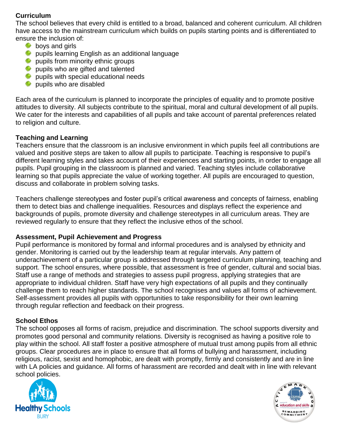# **Curriculum**

The school believes that every child is entitled to a broad, balanced and coherent curriculum. All children have access to the mainstream curriculum which builds on pupils starting points and is differentiated to ensure the inclusion of:

- $\frac{1}{2}$  boys and girls
- pupils learning English as an additional language
- pupils from minority ethnic groups
- pupils who are gifted and talented
- $\bigstar$  pupils with special educational needs
- pupils who are disabled

Each area of the curriculum is planned to incorporate the principles of equality and to promote positive attitudes to diversity. All subjects contribute to the spiritual, moral and cultural development of all pupils. We cater for the interests and capabilities of all pupils and take account of parental preferences related to religion and culture.

# **Teaching and Learning**

Teachers ensure that the classroom is an inclusive environment in which pupils feel all contributions are valued and positive steps are taken to allow all pupils to participate. Teaching is responsive to pupil's different learning styles and takes account of their experiences and starting points, in order to engage all pupils. Pupil grouping in the classroom is planned and varied. Teaching styles include collaborative learning so that pupils appreciate the value of working together. All pupils are encouraged to question, discuss and collaborate in problem solving tasks.

Teachers challenge stereotypes and foster pupil's critical awareness and concepts of fairness, enabling them to detect bias and challenge inequalities. Resources and displays reflect the experience and backgrounds of pupils, promote diversity and challenge stereotypes in all curriculum areas. They are reviewed regularly to ensure that they reflect the inclusive ethos of the school.

#### **Assessment, Pupil Achievement and Progress**

Pupil performance is monitored by formal and informal procedures and is analysed by ethnicity and gender. Monitoring is carried out by the leadership team at regular intervals. Any pattern of underachievement of a particular group is addressed through targeted curriculum planning, teaching and support. The school ensures, where possible, that assessment is free of gender, cultural and social bias. Staff use a range of methods and strategies to assess pupil progress, applying strategies that are appropriate to individual children. Staff have very high expectations of all pupils and they continually challenge them to reach higher standards. The school recognises and values all forms of achievement. Self-assessment provides all pupils with opportunities to take responsibility for their own learning through regular reflection and feedback on their progress.

# **School Ethos**

The school opposes all forms of racism, prejudice and discrimination. The school supports diversity and promotes good personal and community relations. Diversity is recognised as having a positive role to play within the school. All staff foster a positive atmosphere of mutual trust among pupils from all ethnic groups. Clear procedures are in place to ensure that all forms of bullying and harassment, including religious, racist, sexist and homophobic, are dealt with promptly, firmly and consistently and are in line with LA policies and guidance. All forms of harassment are recorded and dealt with in line with relevant school policies.



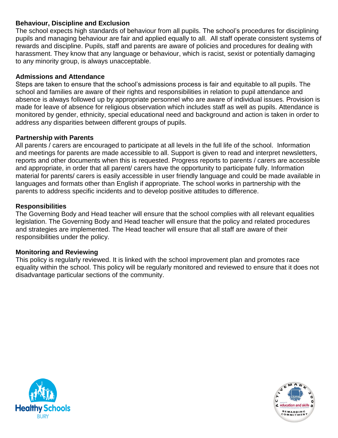# **Behaviour, Discipline and Exclusion**

The school expects high standards of behaviour from all pupils. The school's procedures for disciplining pupils and managing behaviour are fair and applied equally to all. All staff operate consistent systems of rewards and discipline. Pupils, staff and parents are aware of policies and procedures for dealing with harassment. They know that any language or behaviour, which is racist, sexist or potentially damaging to any minority group, is always unacceptable.

### **Admissions and Attendance**

Steps are taken to ensure that the school's admissions process is fair and equitable to all pupils. The school and families are aware of their rights and responsibilities in relation to pupil attendance and absence is always followed up by appropriate personnel who are aware of individual issues. Provision is made for leave of absence for religious observation which includes staff as well as pupils. Attendance is monitored by gender, ethnicity, special educational need and background and action is taken in order to address any disparities between different groups of pupils.

#### **Partnership with Parents**

All parents / carers are encouraged to participate at all levels in the full life of the school. Information and meetings for parents are made accessible to all. Support is given to read and interpret newsletters, reports and other documents when this is requested. Progress reports to parents / carers are accessible and appropriate, in order that all parent/ carers have the opportunity to participate fully. Information material for parents/ carers is easily accessible in user friendly language and could be made available in languages and formats other than English if appropriate. The school works in partnership with the parents to address specific incidents and to develop positive attitudes to difference.

# **Responsibilities**

The Governing Body and Head teacher will ensure that the school complies with all relevant equalities legislation. The Governing Body and Head teacher will ensure that the policy and related procedures and strategies are implemented. The Head teacher will ensure that all staff are aware of their responsibilities under the policy.

#### **Monitoring and Reviewing**

This policy is regularly reviewed. It is linked with the school improvement plan and promotes race equality within the school. This policy will be regularly monitored and reviewed to ensure that it does not disadvantage particular sections of the community.



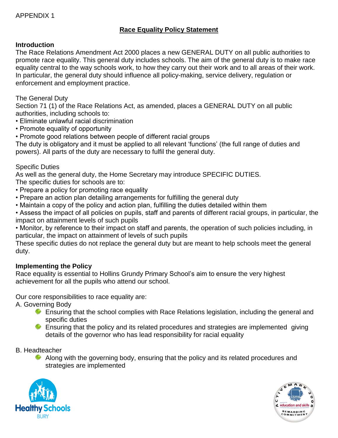# **Race Equality Policy Statement**

# **Introduction**

The Race Relations Amendment Act 2000 places a new GENERAL DUTY on all public authorities to promote race equality. This general duty includes schools. The aim of the general duty is to make race equality central to the way schools work, to how they carry out their work and to all areas of their work. In particular, the general duty should influence all policy-making, service delivery, regulation or enforcement and employment practice.

### The General Duty

Section 71 (1) of the Race Relations Act, as amended, places a GENERAL DUTY on all public authorities, including schools to:

- Eliminate unlawful racial discrimination
- Promote equality of opportunity

• Promote good relations between people of different racial groups

The duty is obligatory and it must be applied to all relevant 'functions' (the full range of duties and powers). All parts of the duty are necessary to fulfil the general duty.

# Specific Duties

As well as the general duty, the Home Secretary may introduce SPECIFIC DUTIES.

The specific duties for schools are to:

- Prepare a policy for promoting race equality
- Prepare an action plan detailing arrangements for fulfilling the general duty
- Maintain a copy of the policy and action plan, fulfilling the duties detailed within them

• Assess the impact of all policies on pupils, staff and parents of different racial groups, in particular, the impact on attainment levels of such pupils

• Monitor, by reference to their impact on staff and parents, the operation of such policies including, in particular, the impact on attainment of levels of such pupils

These specific duties do not replace the general duty but are meant to help schools meet the general duty.

# **Implementing the Policy**

Race equality is essential to Hollins Grundy Primary School's aim to ensure the very highest achievement for all the pupils who attend our school.

Our core responsibilities to race equality are:

A. Governing Body

- **Ensuring that the school complies with Race Relations legislation, including the general and** specific duties
- **Ensuring that the policy and its related procedures and strategies are implemented giving** details of the governor who has lead responsibility for racial equality

B. Headteacher

Along with the governing body, ensuring that the policy and its related procedures and strategies are implemented



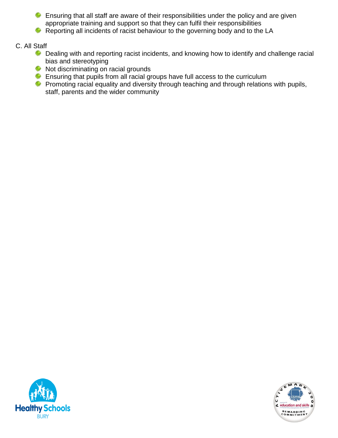**Ensuring that all staff are aware of their responsibilities under the policy and are given** appropriate training and support so that they can fulfil their responsibilities

Reporting all incidents of racist behaviour to the governing body and to the LA

#### C. All Staff

- Dealing with and reporting racist incidents, and knowing how to identify and challenge racial bias and stereotyping
- Not discriminating on racial grounds
- $\triangleq$  Ensuring that pupils from all racial groups have full access to the curriculum
- Promoting racial equality and diversity through teaching and through relations with pupils, staff, parents and the wider community



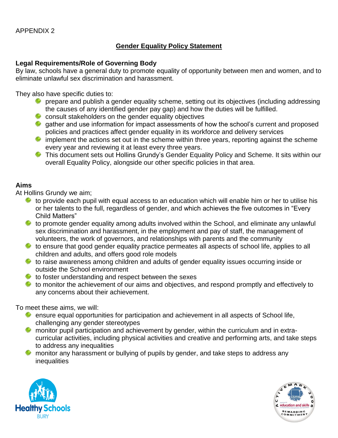#### APPENDIX 2

#### **Gender Equality Policy Statement**

#### **Legal Requirements/Role of Governing Body**

By law, schools have a general duty to promote equality of opportunity between men and women, and to eliminate unlawful sex discrimination and harassment.

They also have specific duties to:

- **F** prepare and publish a gender equality scheme, setting out its objectives (including addressing the causes of any identified gender pay gap) and how the duties will be fulfilled.
- $\bullet$  consult stakeholders on the gender equality objectives
- gather and use information for impact assessments of how the school's current and proposed policies and practices affect gender equality in its workforce and delivery services
- $\ddot{\bullet}$  implement the actions set out in the scheme within three years, reporting against the scheme every year and reviewing it at least every three years.
- This document sets out Hollins Grundy's Gender Equality Policy and Scheme. It sits within our overall Equality Policy, alongside our other specific policies in that area.

#### **Aims**

At Hollins Grundy we aim;

- to provide each pupil with equal access to an education which will enable him or her to utilise his or her talents to the full, regardless of gender, and which achieves the five outcomes in "Every Child Matters"
- to promote gender equality among adults involved within the School, and eliminate any unlawful sex discrimination and harassment, in the employment and pay of staff, the management of volunteers, the work of governors, and relationships with parents and the community
- $\ddot{\bullet}$  to ensure that good gender equality practice permeates all aspects of school life, applies to all children and adults, and offers good role models
- to raise awareness among children and adults of gender equality issues occurring inside or outside the School environment
- $\ddot{\bullet}$  to foster understanding and respect between the sexes
- $\bullet\hspace{0.1cm}$  to monitor the achievement of our aims and objectives, and respond promptly and effectively to any concerns about their achievement.

To meet these aims, we will:

- **EXTERNAL EXTERNAL EXTERNAL EXTERNAL EXTERNAL EXTERNAL EXTERNAL EXTERNAL EXTERNAL EXTERNAL EXTERNAL EXTERNAL EXT** challenging any gender stereotypes
- **\*\*** monitor pupil participation and achievement by gender, within the curriculum and in extracurricular activities, including physical activities and creative and performing arts, and take steps to address any inequalities
- monitor any harassment or bullying of pupils by gender, and take steps to address any inequalities



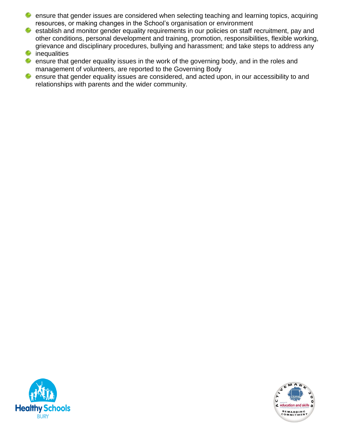- ensure that gender issues are considered when selecting teaching and learning topics, acquiring resources, or making changes in the School's organisation or environment
- $\bullet$  establish and monitor gender equality requirements in our policies on staff recruitment, pay and other conditions, personal development and training, promotion, responsibilities, flexible working, grievance and disciplinary procedures, bullying and harassment; and take steps to address any
- $\triangleq$  inequalities
- **\*\*** ensure that gender equality issues in the work of the governing body, and in the roles and management of volunteers, are reported to the Governing Body
- ensure that gender equality issues are considered, and acted upon, in our accessibility to and 奪 relationships with parents and the wider community.